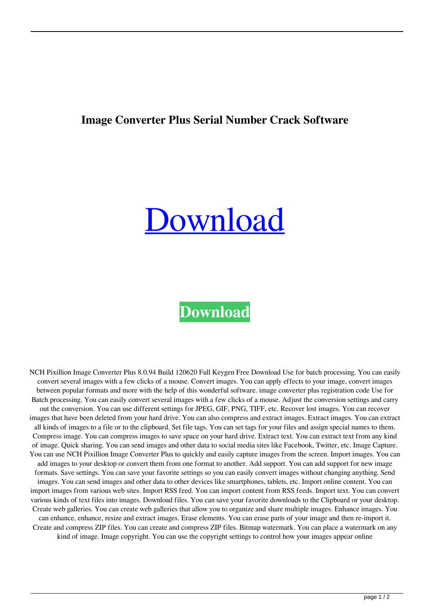## **Image Converter Plus Serial Number Crack Software**

## [Download](http://evacdir.com/mouthparts/spreaders/gotchas.spoofers=aW1hZ2UgY29udmVydGVyIHBsdXMgc2VyaWFsIG51bWJlciBjcmFjayBzb2Z0d2FyZQaW1/ZG93bmxvYWR8NE1ZTlhRd2ZId3hOalV5TnpRd09EWTJmSHd5TlRjMGZId29UU2tnY21WaFpDMWliRzluSUZ0R1lYTjBJRWRGVGww/)

## **[Download](http://evacdir.com/mouthparts/spreaders/gotchas.spoofers=aW1hZ2UgY29udmVydGVyIHBsdXMgc2VyaWFsIG51bWJlciBjcmFjayBzb2Z0d2FyZQaW1/ZG93bmxvYWR8NE1ZTlhRd2ZId3hOalV5TnpRd09EWTJmSHd5TlRjMGZId29UU2tnY21WaFpDMWliRzluSUZ0R1lYTjBJRWRGVGww/)**

NCH Pixillion Image Converter Plus 8.0.94 Build 120620 Full Keygen Free Download Use for batch processing. You can easily convert several images with a few clicks of a mouse. Convert images. You can apply effects to your image, convert images between popular formats and more with the help of this wonderful software. image converter plus registration code Use for Batch processing. You can easily convert several images with a few clicks of a mouse. Adjust the conversion settings and carry out the conversion. You can use different settings for JPEG, GIF, PNG, TIFF, etc. Recover lost images. You can recover images that have been deleted from your hard drive. You can also compress and extract images. Extract images. You can extract all kinds of images to a file or to the clipboard. Set file tags. You can set tags for your files and assign special names to them. Compress image. You can compress images to save space on your hard drive. Extract text. You can extract text from any kind of image. Quick sharing. You can send images and other data to social media sites like Facebook, Twitter, etc. Image Capture. You can use NCH Pixillion Image Converter Plus to quickly and easily capture images from the screen. Import images. You can add images to your desktop or convert them from one format to another. Add support. You can add support for new image formats. Save settings. You can save your favorite settings so you can easily convert images without changing anything. Send images. You can send images and other data to other devices like smartphones, tablets, etc. Import online content. You can import images from various web sites. Import RSS feed. You can import content from RSS feeds. Import text. You can convert various kinds of text files into images. Download files. You can save your favorite downloads to the Clipboard or your desktop. Create web galleries. You can create web galleries that allow you to organize and share multiple images. Enhance images. You can enhance, enhance, resize and extract images. Erase elements. You can erase parts of your image and then re-import it. Create and compress ZIP files. You can create and compress ZIP files. Bitmap watermark. You can place a watermark on any kind of image. Image copyright. You can use the copyright settings to control how your images appear online